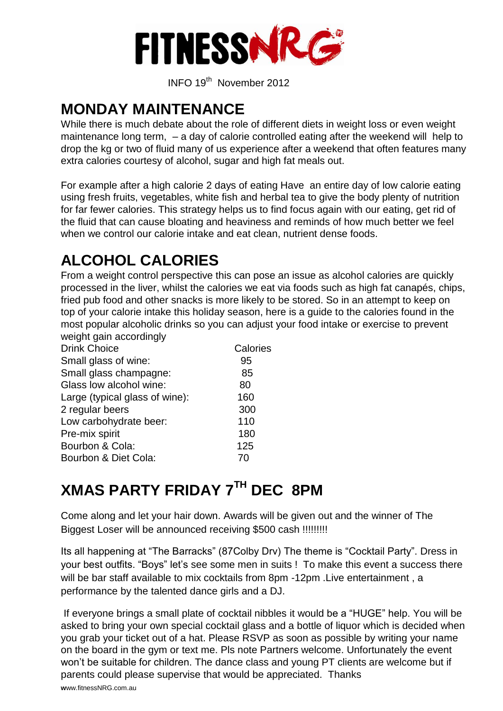

INFO 19 th November 2012

### **MONDAY MAINTENANCE**

While there is much debate about the role of different diets in weight loss or even weight maintenance long term, – a day of calorie controlled eating after the weekend will help to drop the kg or two of fluid many of us experience after a weekend that often features many extra calories courtesy of alcohol, sugar and high fat meals out.

For example after a high calorie 2 days of eating Have an entire day of low calorie eating using fresh fruits, vegetables, white fish and herbal tea to give the body plenty of nutrition for far fewer calories. This strategy helps us to find focus again with our eating, get rid of the fluid that can cause bloating and heaviness and reminds of how much better we feel when we control our calorie intake and eat clean, nutrient dense foods.

# **ALCOHOL CALORIES**

From a weight control perspective this can pose an issue as alcohol calories are quickly processed in the liver, whilst the calories we eat via foods such as high fat canapés, chips, fried pub food and other snacks is more likely to be stored. So in an attempt to keep on top of your calorie intake this holiday season, here is a guide to the calories found in the most popular alcoholic drinks so you can adjust your food intake or exercise to prevent weight gain accordingly

| Calories |
|----------|
| 95       |
| 85       |
| 80       |
| 160      |
| 300      |
| 110      |
| 180      |
| 125      |
| 70       |
|          |

# **XMAS PARTY FRIDAY 7TH DEC 8PM**

Come along and let your hair down. Awards will be given out and the winner of The Biggest Loser will be announced receiving \$500 cash !!!!!!!!!

Its all happening at "The Barracks" (87Colby Drv) The theme is "Cocktail Party". Dress in your best outfits. "Boys" let's see some men in suits ! To make this event a success there will be bar staff available to mix cocktails from 8pm -12pm . Live entertainment , a performance by the talented dance girls and a DJ.

If everyone brings a small plate of cocktail nibbles it would be a "HUGE" help. You will be asked to bring your own special cocktail glass and a bottle of liquor which is decided when you grab your ticket out of a hat. Please RSVP as soon as possible by writing your name on the board in the gym or text me. Pls note Partners welcome. Unfortunately the event won't be suitable for children. The dance class and young PT clients are welcome but if parents could please supervise that would be appreciated. Thanks